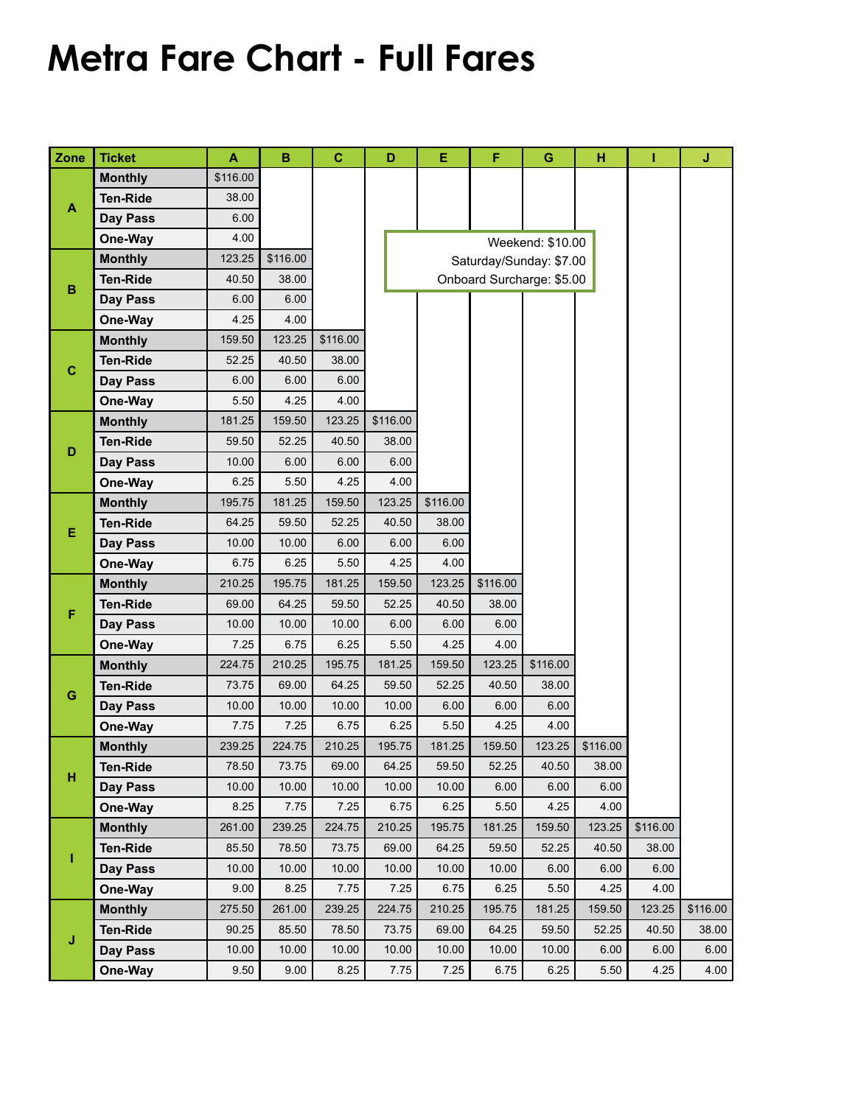## **Metra Fare Chart - Full Fares**

| Zone         | <b>Ticket</b>   | A        | B        | $\mathbf c$ | D                         | E        | F        | G                | н        | T        | J        |  |
|--------------|-----------------|----------|----------|-------------|---------------------------|----------|----------|------------------|----------|----------|----------|--|
| A            | <b>Monthly</b>  | \$116.00 |          |             |                           |          |          |                  |          |          |          |  |
|              | <b>Ten-Ride</b> | 38.00    |          |             |                           |          |          |                  |          |          |          |  |
|              | Day Pass        | 6.00     |          |             |                           |          |          |                  |          |          |          |  |
|              | One-Way         | 4.00     |          |             |                           |          |          | Weekend: \$10.00 |          |          |          |  |
| $\, {\bf B}$ | <b>Monthly</b>  | 123.25   | \$116.00 |             | Saturday/Sunday: \$7.00   |          |          |                  |          |          |          |  |
|              | <b>Ten-Ride</b> | 40.50    | 38.00    |             | Onboard Surcharge: \$5.00 |          |          |                  |          |          |          |  |
|              | Day Pass        | 6.00     | 6.00     |             |                           |          |          |                  |          |          |          |  |
|              | One-Way         | 4.25     | 4.00     |             |                           |          |          |                  |          |          |          |  |
|              | <b>Monthly</b>  | 159.50   | 123.25   | \$116.00    |                           |          |          |                  |          |          |          |  |
| $\mathbf C$  | <b>Ten-Ride</b> | 52.25    | 40.50    | 38.00       |                           |          |          |                  |          |          |          |  |
|              | Day Pass        | 6.00     | 6.00     | 6.00        |                           |          |          |                  |          |          |          |  |
|              | One-Way         | 5.50     | 4.25     | 4.00        |                           |          |          |                  |          |          |          |  |
| D            | <b>Monthly</b>  | 181.25   | 159.50   | 123.25      | \$116.00                  |          |          |                  |          |          |          |  |
|              | <b>Ten-Ride</b> | 59.50    | 52.25    | 40.50       | 38.00                     |          |          |                  |          |          |          |  |
|              | Day Pass        | 10.00    | 6.00     | 6.00        | 6.00                      |          |          |                  |          |          |          |  |
|              | One-Way         | 6.25     | 5.50     | 4.25        | 4.00                      |          |          |                  |          |          |          |  |
|              | <b>Monthly</b>  | 195.75   | 181.25   | 159.50      | 123.25                    | \$116.00 |          |                  |          |          |          |  |
|              | <b>Ten-Ride</b> | 64.25    | 59.50    | 52.25       | 40.50                     | 38.00    |          |                  |          |          |          |  |
| Ε            | Day Pass        | 10.00    | 10.00    | 6.00        | 6.00                      | 6.00     |          |                  |          |          |          |  |
|              | One-Way         | 6.75     | 6.25     | 5.50        | 4.25                      | 4.00     |          |                  |          |          |          |  |
| F            | <b>Monthly</b>  | 210.25   | 195.75   | 181.25      | 159.50                    | 123.25   | \$116.00 |                  |          |          |          |  |
|              | <b>Ten-Ride</b> | 69.00    | 64.25    | 59.50       | 52.25                     | 40.50    | 38.00    |                  |          |          |          |  |
|              | Day Pass        | 10.00    | 10.00    | 10.00       | 6.00                      | 6.00     | 6.00     |                  |          |          |          |  |
|              | One-Way         | 7.25     | 6.75     | 6.25        | 5.50                      | 4.25     | 4.00     |                  |          |          |          |  |
| G            | <b>Monthly</b>  | 224.75   | 210.25   | 195.75      | 181.25                    | 159.50   | 123.25   | \$116.00         |          |          |          |  |
|              | <b>Ten-Ride</b> | 73.75    | 69.00    | 64.25       | 59.50                     | 52.25    | 40.50    | 38.00            |          |          |          |  |
|              | Day Pass        | 10.00    | 10.00    | 10.00       | 10.00                     | 6.00     | 6.00     | 6.00             |          |          |          |  |
|              | One-Way         | 7.75     | 7.25     | 6.75        | 6.25                      | 5.50     | 4.25     | 4.00             |          |          |          |  |
| Н            | <b>Monthly</b>  | 239.25   | 224.75   | 210.25      | 195.75                    | 181.25   | 159.50   | 123.25           | \$116.00 |          |          |  |
|              | <b>Ten-Ride</b> | 78.50    | 73.75    | 69.00       | 64.25                     | 59.50    | 52.25    | 40.50            | 38.00    |          |          |  |
|              | Day Pass        | 10.00    | 10.00    | 10.00       | 10.00                     | 10.00    | 6.00     | 6.00             | 6.00     |          |          |  |
|              | One-Way         | 8.25     | 7.75     | 7.25        | 6.75                      | 6.25     | 5.50     | 4.25             | 4.00     |          |          |  |
| ı            | <b>Monthly</b>  | 261.00   | 239.25   | 224.75      | 210.25                    | 195.75   | 181.25   | 159.50           | 123.25   | \$116.00 |          |  |
|              | <b>Ten-Ride</b> | 85.50    | 78.50    | 73.75       | 69.00                     | 64.25    | 59.50    | 52.25            | 40.50    | 38.00    |          |  |
|              | Day Pass        | 10.00    | 10.00    | 10.00       | 10.00                     | 10.00    | 10.00    | 6.00             | 6.00     | 6.00     |          |  |
|              | One-Way         | 9.00     | 8.25     | 7.75        | 7.25                      | 6.75     | 6.25     | 5.50             | 4.25     | 4.00     |          |  |
| J            | <b>Monthly</b>  | 275.50   | 261.00   | 239.25      | 224.75                    | 210.25   | 195.75   | 181.25           | 159.50   | 123.25   | \$116.00 |  |
|              | <b>Ten-Ride</b> | 90.25    | 85.50    | 78.50       | 73.75                     | 69.00    | 64.25    | 59.50            | 52.25    | 40.50    | 38.00    |  |
|              | Day Pass        | 10.00    | 10.00    | 10.00       | 10.00                     | 10.00    | 10.00    | 10.00            | 6.00     | 6.00     | 6.00     |  |
|              | One-Way         | 9.50     | 9.00     | 8.25        | 7.75                      | 7.25     | 6.75     | 6.25             | 5.50     | 4.25     | 4.00     |  |